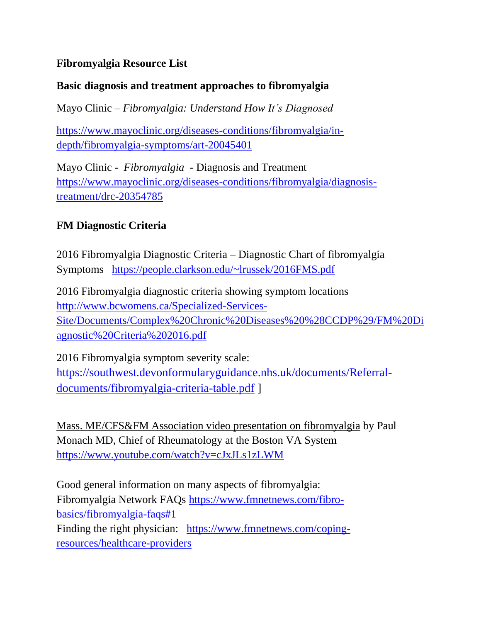## **Fibromyalgia Resource List**

#### **Basic diagnosis and treatment approaches to fibromyalgia**

Mayo Clinic – *Fibromyalgia: Understand How It's Diagnosed* 

https://www.mayoclinic.org/diseases-conditions/fibromyalgia/indepth/fibromyalgia-symptoms/art-20045401

Mayo Clinic - *Fibromyalgia* - Diagnosis and Treatment https://www.mayoclinic.org/diseases-conditions/fibromyalgia/diagnosistreatment/drc-20354785

### **FM Diagnostic Criteria**

2016 Fibromyalgia Diagnostic Criteria – Diagnostic Chart of fibromyalgia Symptoms https://people.clarkson.edu/~lrussek/2016FMS.pdf

2016 Fibromyalgia diagnostic criteria showing symptom locations http://www.bcwomens.ca/Specialized-Services-Site/Documents/Complex%20Chronic%20Diseases%20%28CCDP%29/FM%20Di agnostic%20Criteria%202016.pdf

2016 Fibromyalgia symptom severity scale: https://southwest.devonformularyguidance.nhs.uk/documents/Referraldocuments/fibromyalgia-criteria-table.pdf ]

Mass. ME/CFS&FM Association video presentation on fibromyalgia by Paul Monach MD, Chief of Rheumatology at the Boston VA System https://www.youtube.com/watch?v=cJxJLs1zLWM

Good general information on many aspects of fibromyalgia: Fibromyalgia Network FAQs https://www.fmnetnews.com/fibrobasics/fibromyalgia-faqs#1 Finding the right physician: https://www.fmnetnews.com/copingresources/healthcare-providers